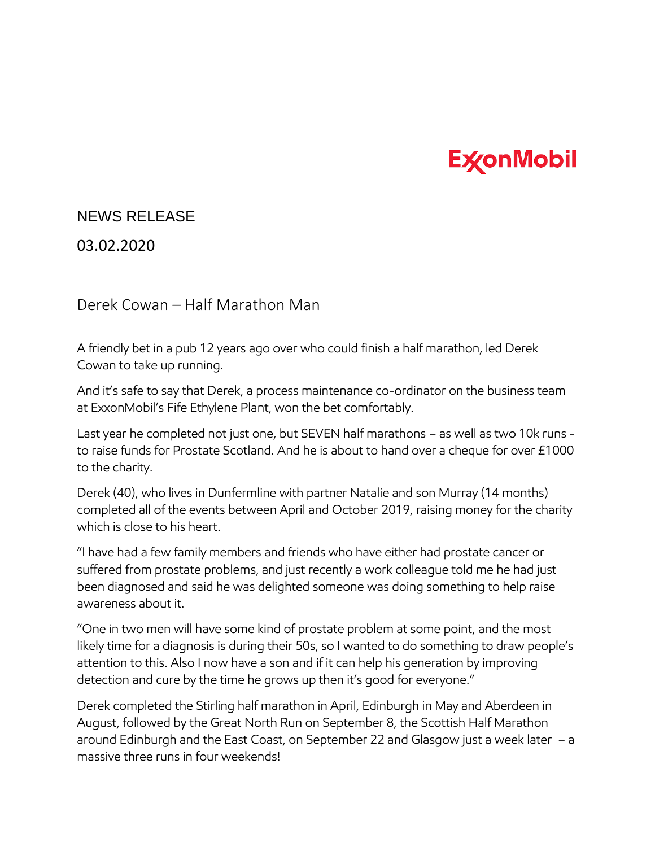## **ExconMobil**

## NEWS RELEASE

03.02.2020

Derek Cowan – Half Marathon Man

A friendly bet in a pub 12 years ago over who could finish a half marathon, led Derek Cowan to take up running.

And it's safe to say that Derek, a process maintenance co-ordinator on the business team at ExxonMobil's Fife Ethylene Plant, won the bet comfortably.

Last year he completed not just one, but SEVEN half marathons – as well as two 10k runs to raise funds for Prostate Scotland. And he is about to hand over a cheque for over £1000 to the charity.

Derek (40), who lives in Dunfermline with partner Natalie and son Murray (14 months) completed all of the events between April and October 2019, raising money for the charity which is close to his heart.

"I have had a few family members and friends who have either had prostate cancer or suffered from prostate problems, and just recently a work colleague told me he had just been diagnosed and said he was delighted someone was doing something to help raise awareness about it.

"One in two men will have some kind of prostate problem at some point, and the most likely time for a diagnosis is during their 50s, so I wanted to do something to draw people's attention to this. Also I now have a son and if it can help his generation by improving detection and cure by the time he grows up then it's good for everyone."

Derek completed the Stirling half marathon in April, Edinburgh in May and Aberdeen in August, followed by the Great North Run on September 8, the Scottish Half Marathon around Edinburgh and the East Coast, on September 22 and Glasgow just a week later – a massive three runs in four weekends!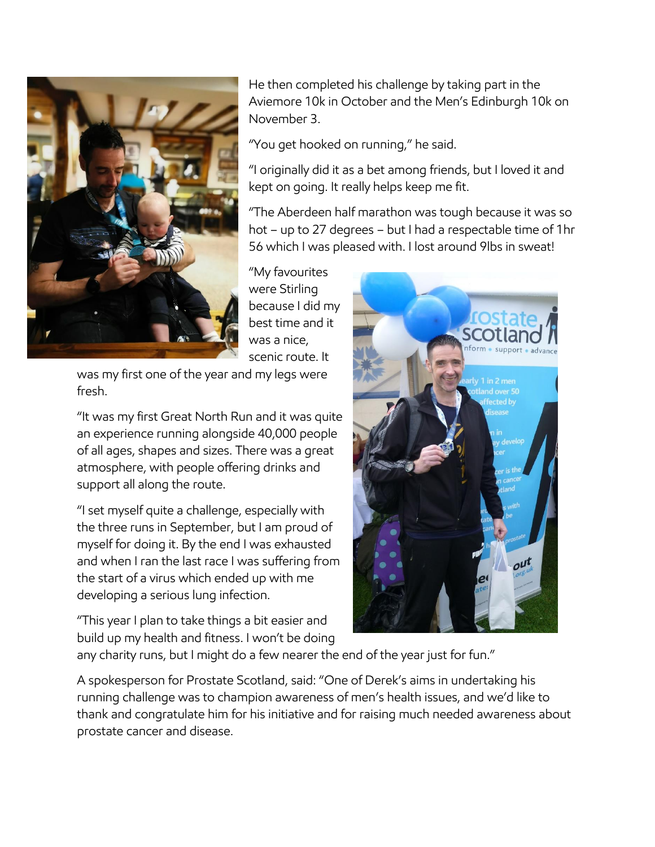

He then completed his challenge by taking part in the Aviemore 10k in October and the Men's Edinburgh 10k on November 3.

"You get hooked on running," he said.

"I originally did it as a bet among friends, but I loved it and kept on going. It really helps keep me fit.

"The Aberdeen half marathon was tough because it was so hot – up to 27 degrees – but I had a respectable time of 1hr 56 which I was pleased with. I lost around 9lbs in sweat!

"My favourites were Stirling because I did my best time and it was a nice, scenic route. It

was my first one of the year and my legs were fresh.

"It was my first Great North Run and it was quite an experience running alongside 40,000 people of all ages, shapes and sizes. There was a great atmosphere, with people offering drinks and support all along the route.

"I set myself quite a challenge, especially with the three runs in September, but I am proud of myself for doing it. By the end I was exhausted and when I ran the last race I was suffering from the start of a virus which ended up with me developing a serious lung infection.

"This year I plan to take things a bit easier and build up my health and fitness. I won't be doing



any charity runs, but I might do a few nearer the end of the year just for fun."

A spokesperson for Prostate Scotland, said: "One of Derek's aims in undertaking his running challenge was to champion awareness of men's health issues, and we'd like to thank and congratulate him for his initiative and for raising much needed awareness about prostate cancer and disease.